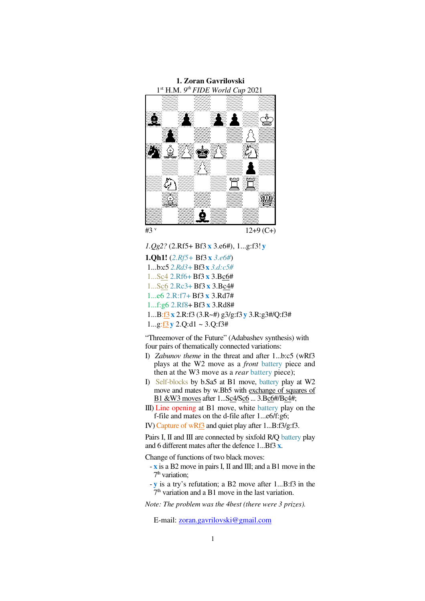

*1.Qg2?* (2.Rf5+ Bf3 **x** 3.e6#), 1...g:f3!**y**

**1.Qh1!** (*2.Rf5+* Bf3 **x** *3.e6#*) 1...b:c5 *2.Rd3+*Bf3**x** *3.d:c5#* 1...Sc4 2.Rf6+ Bf3 **x** 3.Bc6# 1...Sc6 2.Rc3+ Bf3 **x** 3.Bc4# 1...e6 2.R:f7+ Bf3 **x** 3.Rd7# 1...f:g6 2.Rf8+Bf3 **x** 3.Rd8# 1...B:f3**x** 2.R:f3 (3.R~#) g3/g:f3**y** 3.R:g3#/Q:f3# 1...g:f3**y** 2.Q:d1 ~ 3.Q:f3#

"Threemover of the Future" (Adabashev synthesis) with four pairs of thematically connected variations:

- I) *Zabunov theme* in the threat and after 1...b:c5 (wRf3 plays at the W2 move as a *front* battery piece and then at the W3 move as a *rear* battery piece);
- I) Self-blocks by b.Sa5 at B1 move, battery play at W2 move and mates by w.Bb5 with exchange of squares of B1 &W3 moves after 1...Sc4/Sc6 ... 3.Bc6#/Bc4#;
- III) Line opening at B1 move, white battery play on the f-file and mates on the d-file after 1...e6/f:g6;
- IV) Capture of wRf3 and quiet play after 1...B:f3/g:f3.

Pairs I, II and III are connected by sixfold R/Q battery play and 6 different mates after the defence 1...Bf3 **x**.

Change of functions of two black moves:

- **x** is a B2 move in pairs I, II and III; and a B1 move in the 7<sup>th</sup> variation;
- **y** is a try's refutation; a B2 move after 1...B:f3in the  $7<sup>th</sup>$  variation and a B1 move in the last variation.

*Note: The problem was the 4best (there were 3 prizes).*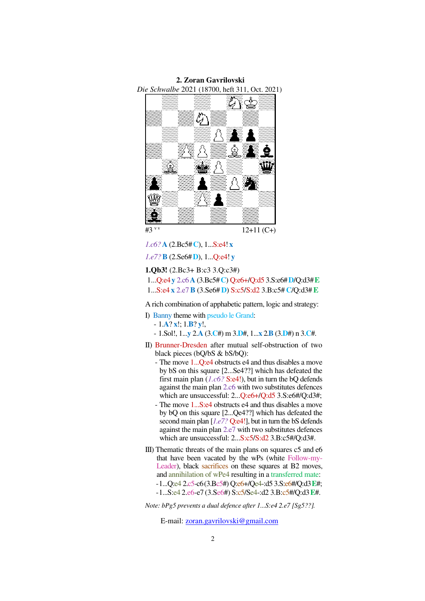*Die Schwalbe* 2021 (18700, heft 311, Oct. 2021) ధ 芥 Ø #3 v v 12+11 (C+)

**2. Zoran Gavrilovski** 

*1.c6?***A** (2.Bc5#**C**), 1...S:e4! **x**

*1.e7?***B** (2.Se6#**D**), 1...Q:e4! **y**

**1.Qb3!** (2.Bc3+ B:c3 3.Q:c3#)

 1...Q:e4**y** 2.c6**A** (3.Bc5#**C**) Q:e6+/Q:d5 3.S:e6#**D**/Q:d3#**E** 1...S:e4 **x** 2.e7**B** (3.Se6# **D**) S:c5/S:d2 3.B:c5# **C**/Q:d3#**E**

A rich combination of apphabetic pattern, logic and strategy:

- I) Banny theme with pseudo le Grand:
	- 1.**A**? **x**!; 1.**B**? **y**!,
	- 1.Sol!, 1...**y** 2.**A** (3.**C**#) m 3.**D**#, 1...**x** 2.**B** (3.**D**#) n 3.**C**#.
- II) Brunner-Dresden after mutual self-obstruction of two black pieces (bQ/bS & bS/bQ):
	- The move 1...Q:e4 obstructs e4 and thus disables a move by bS on this square [2...Se4??] which has defeated the first main plan (*1.c6?* S:e4!), but in turn the bQ defends against the main plan 2.c6 with two substitutes defences which are unsuccessful: 2...Q:e6+/Q:d5 3.S:e6#/Q:d3#;
	- The move 1...S:e4 obstructs e4 and thus disables a move by bQ on this square [2...Qe4??] which has defeated the second main plan [*1.e7?* Q:e4!], but in turn the bS defends against the main plan 2.e7 with two substitutes defences which are unsuccessful: 2...S:c5/S:d2 3.B:c5#/Q:d3#.
- III) Thematic threats of the main plans on squares c5 and e6 that have been vacated by the wPs (white Follow-my-Leader), black sacrifices on these squares at B2 moves, and annihilation of wPe4 resulting in a transferred mate: -1...Q:e4 2.c5-c6(3.Bc5#) Q:e6+/Qe4-:d5 3.S:e6#/Q:d3**E**#; -1...S:e4 2.e6-e7 (3.Se6#) S:c5/Se4-:d2 3.B:c5#/Q:d3**E**#.

*Note: bPg5 prevents a dual defence after 1...S:e4 2.e7 [Sg5??].*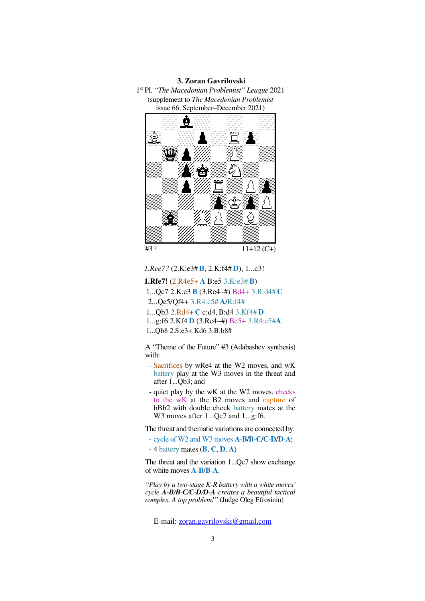## **3. Zoran Gavrilovski**

1 st Pl. *"The Macedonian Problemist" League* 2021 (supplement to *The Macedonian Problemist*  issue 66, September–December 2021)



*1.Ree7?* (2.K:e3# **B**, 2.K:f4# **D**), 1...c3!

**1.Rfe7!** (2.R4e5+ **A** B:e5 3.K:e3# **B**)

1...Qc7 2.K:e3 **B** (3.Re4~#) Bd4+ 3.R:d4# **C**

2...Qe5/Qf4+ 3.R4:e5# **A**/R:f4#

1...Qb3 2.Rd4+ **C** c:d4,B:d4 3.Kf4# **D**

1...g:f6 2.Kf4 **D** (3.Re4~#) Be5+ 3.R4:e5#**A**

1...Qb8 2.S:e3+ Kd6 3.B:b8#

A "Theme of the Future" #3 (Adabashev synthesis) with:

- Sacrifices by wRe4 at the W2 moves, and wK battery play at the W3 moves in the threat and after 1...Qb3; and
- quiet play by the wK at the W2 moves, checks to the wK at the B2 moves and capture of bBb2 with double check battery mates at the W3 moves after 1...Qc7 and 1...g:f6.

The threat and thematic variations are connected by:

- cycle of W2 and W3 moves **A**-**B**/**B**-**C**/**C**-**D**/**D**-**A**;

- 4 battery mates (**B**, **C**, **D**, **A**)

The threat and the variation 1...Qc7 show exchange of white moves **A**-**B**/**B**-**A**.

*"Play by a two-stage K-R battery with a white moves' cycle A-B/B-C/C-D/D-A creates a beautiful tactical complex. A top problem!"* (Judge Oleg Efrosinin)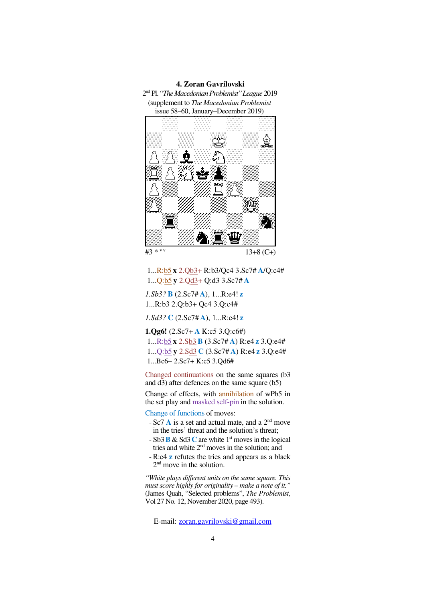## **4. Zoran Gavrilovski**





#3 \* v v

## 1...R:b5 **x** 2.Qb3+ R:b3/Qc4 3.Sc7# **A**/Q:c4# 1...Q:b5 **y** 2.Qd3+ Q:d3 3.Sc7# **A**

*1.Sb3?* **B** (2.Sc7# **A**), 1...R:e4! **z**  1...R:b3 2.Q:b3+ Qc4 3.Q:c4#

*1.Sd3?* **C** (2.Sc7# **A**), 1...R:e4! **z**

**1.Qg6!** (2.Sc7+ **A** K:c5 3.Q:c6#)

 1...R:b5 **x** 2.Sb3 **B** (3.Sc7# **A**) R:e4 **z** 3.Q:e4# 1...Q:b5 **y** 2.Sd3 **C** (3.Sc7# **A**) R:e4 **z** 3.Q:e4# 1...Bc6~ 2.Sc7+ K:c5 3.Qd6#

Changed continuations on the same squares (b3 and  $\overline{d3}$ ) after defences on the same square (b5)

Change of effects, with annihilation of wPb5 in the set play and masked self-pin in the solution.

Change of functions of moves:

- Sc7 **A** is a set and actual mate, and a 2nd move in the tries' threat and the solution's threat;
- Sb3**B** & Sd3**C** are white 1st moves in the logical tries and white 2nd moves in the solution; and
- R:e4 **z** refutes the tries and appears as a black 2<sup>nd</sup> move in the solution.

*"White plays different units on the same square. This must score highly for originality – make a note of it."*  (James Quah, "Selected problems", *The Problemist*, Vol 27 No. 12, November 2020, page 493).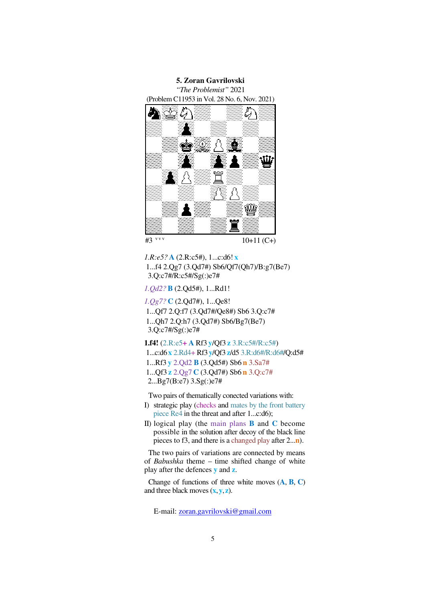

*1.R:e5?* **A** (2.R:c5#), 1...c:d6! **x** 1...f4 2.Qg7 (3.Qd7#) Sb6/Qf7(Qh7)/B:g7(Be7) 3.Q:c7#/R:c5#/Sg(:)e7#

*1.Qd2?***B** (2.Qd5#), 1...Rd1!

*1.Qg7?* **C** (2.Qd7#), 1...Qe8! 1...Qf7 2.Q:f7 (3.Qd7#/Qe8#) Sb6 3.Q:c7# 1...Qh7 2.Q:h7 (3.Qd7#) Sb6/Bg7(Be7) 3.Q:c7#/Sg(:)e7#

**1.f4!** (2.R:e5**+ A** Rf3 **y**/Qf3 **z** 3.R:c5#/R:c5#) 1...c:d6**x** 2.Rd4+ Rf3 **y**/Qf3 **z**/d5 3.R:d6#/R:d6#/Q:d5# 1...Rf3 **y** 2.Qd2 **B** (3.Qd5#) Sb6 **n** 3.Sa7# 1...Qf3 **z** 2.Qg7 **C** (3.Qd7#) Sb6 **n** 3.Q:c7# 2...Bg7(B:e7) 3.Sg(:)e7#

Two pairs of thematically conected variations with:

- I) strategic play (checks and mates by the front battery piece Re4 in the threat and after 1...c:d6);
- II) logical play (the main plans **B** and **C** become possible in the solution after decoy of the black line pieces to f3, and there is a changed play after 2...**n**).

The two pairs of variations are connected by means of *Babushka* theme – time shifted change of white play after the defences **y** and **z**.

Change of functions of three white moves (**A**, **B**, **C**) and three black moves (**x**,**y**,**z**).